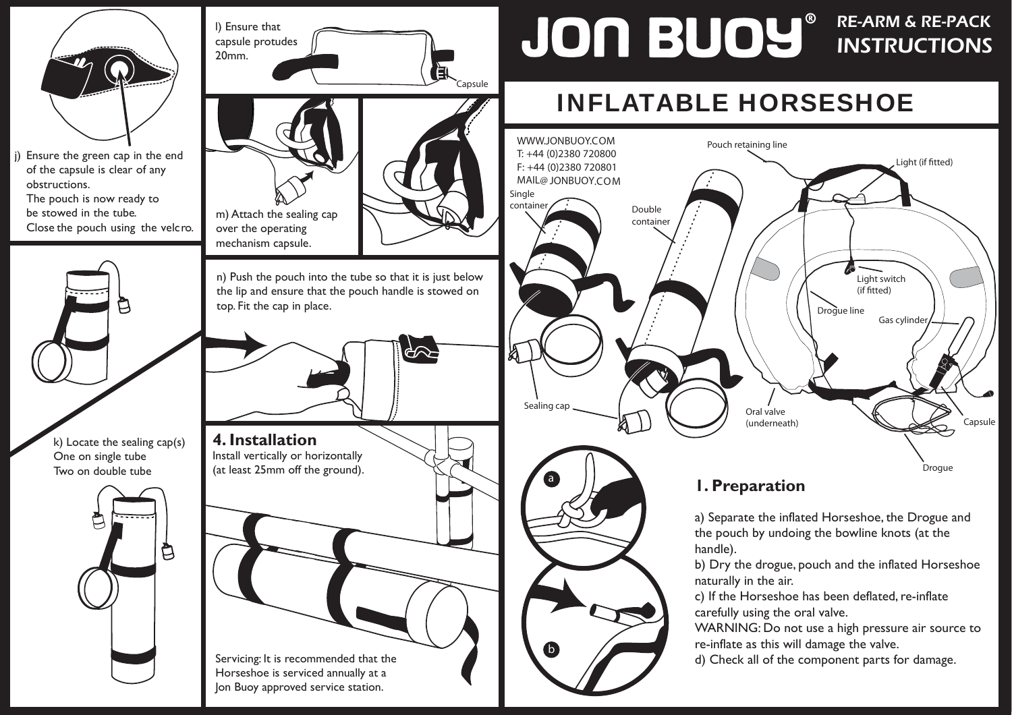